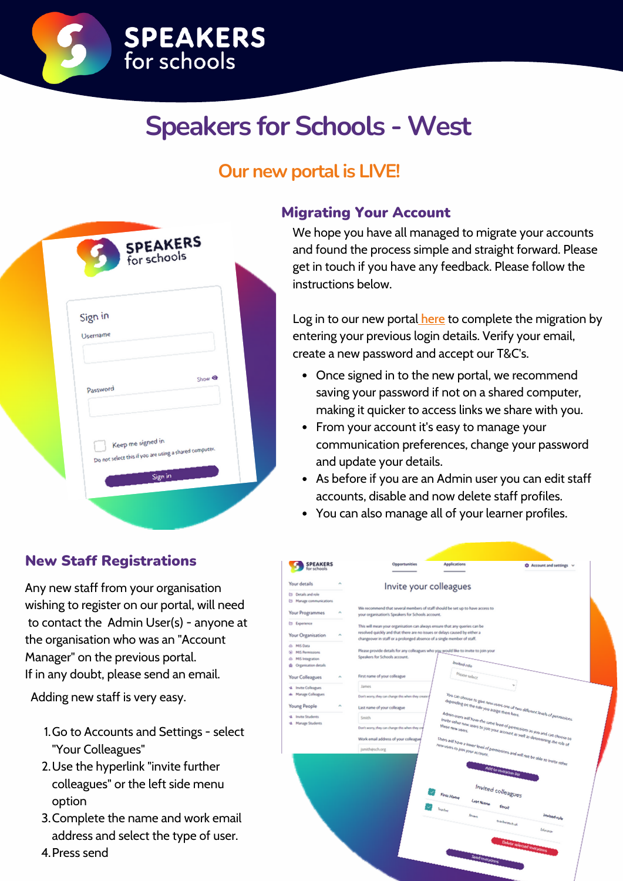

## **Speakers for Schools - West**

### **Our new portal is LIVE!**

| Sign in                                                |
|--------------------------------------------------------|
| Username                                               |
|                                                        |
| Show <sup>®</sup>                                      |
| Password                                               |
|                                                        |
|                                                        |
| Keep me signed in                                      |
| Do not select this if you are using a shared computer. |
| Sign in                                                |

### New Staff Registrations

Any new staff from your organisation wishing to register on our portal, will need to contact the Admin User(s) - anyone at the organisation who was an "Account Manager" on the previous portal. If in any doubt, please send an email.

Adding new staff is very easy.

- 1. Go to Accounts and Settings select "Your Colleagues"
- Use the hyperlink "invite further 2. colleagues" or the left side menu option
- 3. Complete the name and work email address and select the type of user.

#### Migrating Your Account

We hope you have all managed to migrate your accounts and found the process simple and straight forward. Please get in touch if you have any feedback. Please follow the instructions below.

Log in to our new porta[l](https://account.speakersforschools.org/Account/Login) [here](https://account.speakersforschools.org/Account/Login) to complete the migration by entering your previous login details. Verify your email, create a new password and accept our T&C's.

- Once signed in to the new portal, we recommend saving your password if not on a shared computer, making it quicker to access links we share with you.
- From your account it's easy to manage your communication preferences, change your password and update your details.
- As before if you are an Admin user you can edit staff accounts, disable and now delete staff profiles.
- You can also manage all of your learner profiles.

| <b>SPEAKERS</b><br>for schools                 | Opportunities                                                                                                                      | Applications                                                                        | <b>Q</b> Account and settings v                                                                                                                             |  |  |  |
|------------------------------------------------|------------------------------------------------------------------------------------------------------------------------------------|-------------------------------------------------------------------------------------|-------------------------------------------------------------------------------------------------------------------------------------------------------------|--|--|--|
| Your details<br>۰                              | Invite your colleagues                                                                                                             |                                                                                     |                                                                                                                                                             |  |  |  |
| <b>ED</b> Details and role                     |                                                                                                                                    |                                                                                     |                                                                                                                                                             |  |  |  |
| <b>El Manage communications</b>                |                                                                                                                                    |                                                                                     |                                                                                                                                                             |  |  |  |
| Your Programmes<br>$\mathcal{A}_{\mathcal{C}}$ | We recommend that several members of staff should be set up to have access to<br>your organisation's Speakers for Schools account. |                                                                                     |                                                                                                                                                             |  |  |  |
| <b>Experience</b>                              | This will mean your organisation can always ensure that any queries can be                                                         |                                                                                     |                                                                                                                                                             |  |  |  |
| Your Organisation<br>×                         | resolved quickly and that there are no issues or delays caused by either a                                                         |                                                                                     |                                                                                                                                                             |  |  |  |
|                                                | changeover in staff or a prolonged absence of a single member of staff.                                                            |                                                                                     |                                                                                                                                                             |  |  |  |
| & MS Data                                      |                                                                                                                                    |                                                                                     |                                                                                                                                                             |  |  |  |
| (a) MIS Permissions<br>@ MS Integration        | Speakers for Schools account.                                                                                                      | Please provide details for any colleagues who you would like to invite to join your |                                                                                                                                                             |  |  |  |
| de Organisation details                        |                                                                                                                                    | Invited role                                                                        |                                                                                                                                                             |  |  |  |
|                                                |                                                                                                                                    |                                                                                     |                                                                                                                                                             |  |  |  |
| Your Colleagues<br>$\mathcal{A}_1$             | First name of your colleague                                                                                                       | Please select                                                                       |                                                                                                                                                             |  |  |  |
| 4 Invite Colleagues                            | James.                                                                                                                             |                                                                                     |                                                                                                                                                             |  |  |  |
| de Manage Colleagues                           | Don't wony, they can change this when they create                                                                                  |                                                                                     |                                                                                                                                                             |  |  |  |
| ×                                              |                                                                                                                                    | depending on the role you assign them here.                                         |                                                                                                                                                             |  |  |  |
| <b>Young People</b>                            | Last name of your colleague                                                                                                        |                                                                                     |                                                                                                                                                             |  |  |  |
| 4 Invite Students                              | Smith                                                                                                                              |                                                                                     | You can choose to give new users one of two different levels of permissions<br>Admin users will have the same level of permissions as you and can choose to |  |  |  |
| 4 Manage Students                              | Don't wony, they can change this when they or                                                                                      | these new users.                                                                    | invite other new users to join your account as well as determining the role of                                                                              |  |  |  |
|                                                |                                                                                                                                    |                                                                                     |                                                                                                                                                             |  |  |  |
|                                                | Work email address of your colleague                                                                                               |                                                                                     |                                                                                                                                                             |  |  |  |
|                                                | jsmith@sch.org                                                                                                                     | new users to join your account.                                                     |                                                                                                                                                             |  |  |  |
|                                                |                                                                                                                                    |                                                                                     |                                                                                                                                                             |  |  |  |
|                                                |                                                                                                                                    | Users will have a lower level of permissions and will not be able to invite other   |                                                                                                                                                             |  |  |  |
|                                                |                                                                                                                                    | Add to invitation list                                                              |                                                                                                                                                             |  |  |  |
|                                                |                                                                                                                                    |                                                                                     |                                                                                                                                                             |  |  |  |
|                                                |                                                                                                                                    | Invited colleagues                                                                  |                                                                                                                                                             |  |  |  |
|                                                |                                                                                                                                    | <b>First Name</b>                                                                   |                                                                                                                                                             |  |  |  |
|                                                |                                                                                                                                    | <b>Last Name</b>                                                                    | Email                                                                                                                                                       |  |  |  |
|                                                |                                                                                                                                    | Teacher                                                                             |                                                                                                                                                             |  |  |  |
|                                                |                                                                                                                                    | Brown                                                                               | Invited role<br>teachergschuk                                                                                                                               |  |  |  |
|                                                |                                                                                                                                    |                                                                                     | Educator                                                                                                                                                    |  |  |  |
|                                                |                                                                                                                                    |                                                                                     |                                                                                                                                                             |  |  |  |
|                                                |                                                                                                                                    |                                                                                     | Delete selected invitations                                                                                                                                 |  |  |  |
|                                                |                                                                                                                                    | Send Invitations                                                                    |                                                                                                                                                             |  |  |  |

4. Press send